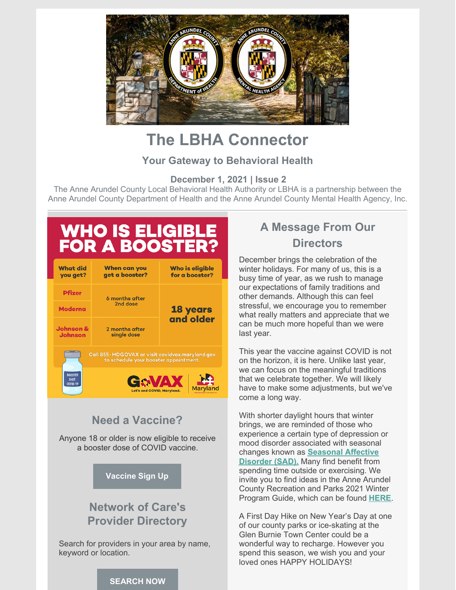

# **The LBHA Connector**

#### **Your Gateway to Behavioral Health**

**December 1, 2021 | Issue 2**

The Anne Arundel County Local Behavioral Health Authority or LBHA is a partnership between the Anne Arundel County Department of Health and the Anne Arundel County Mental Health Agency, Inc.

# **WHO IS ELIGIBLE<br>FOR A BOOSTER?**

| <b>What did</b><br>you get?                                                              | <b>When can you</b><br>get a booster?                        | Who is eligible<br>for a booster? |
|------------------------------------------------------------------------------------------|--------------------------------------------------------------|-----------------------------------|
| <b>Pfizer</b>                                                                            | 6 months after<br>2nd dose                                   | <b>18 years</b><br>and older      |
| <b>Moderna</b>                                                                           |                                                              |                                   |
| <b>Johnson &amp;</b><br><b>Johnson</b>                                                   | 2 months after<br>single dose                                |                                   |
| Call 855-MDGOVAX or visit covidvax.maryland.gov<br>to schedule your booster appointment. |                                                              |                                   |
| <b>BOOSTER</b><br><b>SHOT</b><br><b>COVID-19</b>                                         | GAVAX<br>Let's end COVID, Maryland.<br><b>PARTMENT OF HE</b> |                                   |

### **Need a Vaccine?**

Anyone 18 or older is now eligible to receive a booster dose of COVID vaccine.

#### **[Vaccine](https://www.aacounty.org/covidvax/) Sign Up**

## **Network of Care's Provider Directory**

Search for providers in your area by name, keyword or location.

# **A Message From Our Directors**

December brings the celebration of the winter holidays. For many of us, this is a busy time of year, as we rush to manage our expectations of family traditions and other demands. Although this can feel stressful, we encourage you to remember what really matters and appreciate that we can be much more hopeful than we were last year.

This year the vaccine against COVID is not on the horizon, it is here. Unlike last year, we can focus on the meaningful traditions that we celebrate together. We will likely have to make some adjustments, but we've come a long way.

With shorter daylight hours that winter brings, we are reminded of those who experience a certain type of depression or mood disorder associated with seasonal changes known as **[Seasonal](https://www.nimh.nih.gov/health/publications/seasonal-affective-disorder/seasonal-affective-disorder-sad-more-than-the-winter-blues) Affective Disorder (SAD).** Many find benefit from spending time outside or exercising. We invite you to find ideas in the Anne Arundel County Recreation and Parks 2021 Winter Program Guide, which can be found **[HERE](https://www.aacounty.org/departments/recreation-parks/forms-and-publications/winter-program-guide.pdf)**.

A First Day Hike on New Year's Day at one of our county parks or ice-skating at the Glen Burnie Town Center could be a wonderful way to recharge. However you spend this season, we wish you and your loved ones HAPPY HOLIDAYS!

#### **[SEARCH](https://annearundel.md.networkofcare.org/mh/index.aspx) NOW**